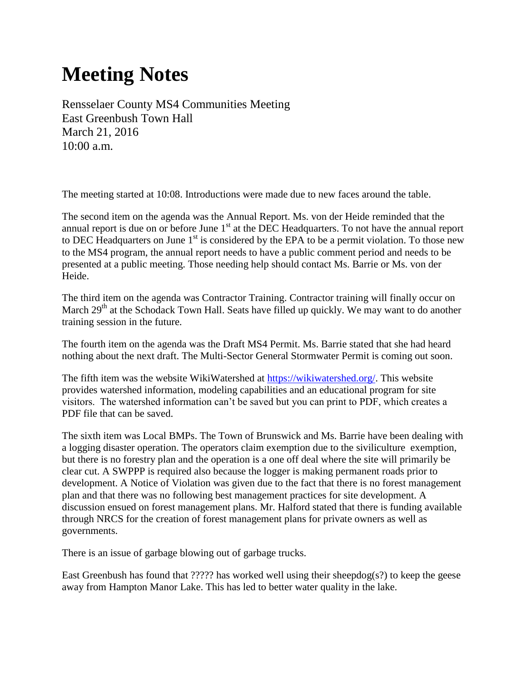## **Meeting Notes**

Rensselaer County MS4 Communities Meeting East Greenbush Town Hall March 21, 2016 10:00 a.m.

The meeting started at 10:08. Introductions were made due to new faces around the table.

The second item on the agenda was the Annual Report. Ms. von der Heide reminded that the annual report is due on or before June  $1<sup>st</sup>$  at the DEC Headquarters. To not have the annual report to DEC Headquarters on June  $1<sup>st</sup>$  is considered by the EPA to be a permit violation. To those new to the MS4 program, the annual report needs to have a public comment period and needs to be presented at a public meeting. Those needing help should contact Ms. Barrie or Ms. von der Heide.

The third item on the agenda was Contractor Training. Contractor training will finally occur on March 29<sup>th</sup> at the Schodack Town Hall. Seats have filled up quickly. We may want to do another training session in the future.

The fourth item on the agenda was the Draft MS4 Permit. Ms. Barrie stated that she had heard nothing about the next draft. The Multi-Sector General Stormwater Permit is coming out soon.

The fifth item was the website WikiWatershed at [https://wikiwatershed.org/.](https://wikiwatershed.org/) This website provides watershed information, modeling capabilities and an educational program for site visitors. The watershed information can't be saved but you can print to PDF, which creates a PDF file that can be saved.

The sixth item was Local BMPs. The Town of Brunswick and Ms. Barrie have been dealing with a logging disaster operation. The operators claim exemption due to the siviliculture exemption, but there is no forestry plan and the operation is a one off deal where the site will primarily be clear cut. A SWPPP is required also because the logger is making permanent roads prior to development. A Notice of Violation was given due to the fact that there is no forest management plan and that there was no following best management practices for site development. A discussion ensued on forest management plans. Mr. Halford stated that there is funding available through NRCS for the creation of forest management plans for private owners as well as governments.

There is an issue of garbage blowing out of garbage trucks.

East Greenbush has found that  $?$ ???? has worked well using their sheepdog(s?) to keep the geese away from Hampton Manor Lake. This has led to better water quality in the lake.